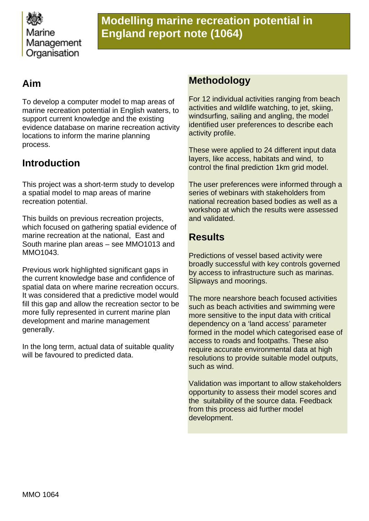

# **Modelling marine recreation potential in England report note (1064)**

# **Aim**

To develop a computer model to map areas of marine recreation potential in English waters, to support current knowledge and the existing evidence database on marine recreation activity locations to inform the marine planning process.

# **Introduction**

This project was a short-term study to develop a spatial model to map areas of marine recreation potential.

This builds on previous recreation projects, which focused on gathering spatial evidence of marine recreation at the national, East and South marine plan areas – see MMO1013 and MMO1043.

Previous work highlighted significant gaps in the current knowledge base and confidence of spatial data on where marine recreation occurs. It was considered that a predictive model would fill this gap and allow the recreation sector to be more fully represented in current marine plan development and marine management generally.

In the long term, actual data of suitable quality will be favoured to predicted data.

### **Methodology**

For 12 individual activities ranging from beach activities and wildlife watching, to jet, skiing, windsurfing, sailing and angling, the model identified user preferences to describe each activity profile.

These were applied to 24 different input data layers, like access, habitats and wind, to control the final prediction 1km grid model.

The user preferences were informed through a series of webinars with stakeholders from national recreation based bodies as well as a workshop at which the results were assessed and validated.

### **Results**

Predictions of vessel based activity were broadly successful with key controls governed by access to infrastructure such as marinas. Slipways and moorings.

The more nearshore beach focused activities such as beach activities and swimming were more sensitive to the input data with critical dependency on a 'land access' parameter formed in the model which categorised ease of access to roads and footpaths. These also require accurate environmental data at high resolutions to provide suitable model outputs, such as wind.

Validation was important to allow stakeholders opportunity to assess their model scores and the suitability of the source data. Feedback from this process aid further model development.